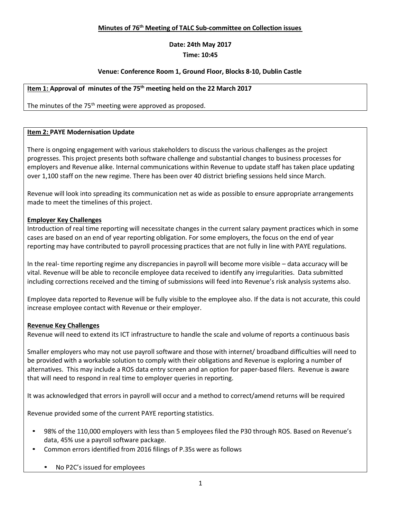## **Minutes of 76 th Meeting of TALC Sub-committee on Collection issues**

## **Date: 24th May 2017 Time: 10:45**

### **Venue: Conference Room 1, Ground Floor, Blocks 8-10, Dublin Castle**

### **Item 1: Approval of minutes of the 75 th meeting held on the 22 March 2017**

The minutes of the 75<sup>th</sup> meeting were approved as proposed.

#### **Item 2: PAYE Modernisation Update**

There is ongoing engagement with various stakeholders to discuss the various challenges as the project progresses. This project presents both software challenge and substantial changes to business processes for employers and Revenue alike. Internal communications within Revenue to update staff has taken place updating over 1,100 staff on the new regime. There has been over 40 district briefing sessions held since March.

Revenue will look into spreading its communication net as wide as possible to ensure appropriate arrangements made to meet the timelines of this project.

### **Employer Key Challenges**

Introduction of real time reporting will necessitate changes in the current salary payment practices which in some cases are based on an end of year reporting obligation. For some employers, the focus on the end of year reporting may have contributed to payroll processing practices that are not fully in line with PAYE regulations.

In the real- time reporting regime any discrepancies in payroll will become more visible – data accuracy will be vital. Revenue will be able to reconcile employee data received to identify any irregularities. Data submitted including corrections received and the timing of submissions will feed into Revenue's risk analysis systems also.

Employee data reported to Revenue will be fully visible to the employee also. If the data is not accurate, this could increase employee contact with Revenue or their employer.

#### **Revenue Key Challenges**

Revenue will need to extend its ICT infrastructure to handle the scale and volume of reports a continuous basis

Smaller employers who may not use payroll software and those with internet/ broadband difficulties will need to be provided with a workable solution to comply with their obligations and Revenue is exploring a number of alternatives. This may include a ROS data entry screen and an option for paper-based filers. Revenue is aware that will need to respond in real time to employer queries in reporting.

It was acknowledged that errors in payroll will occur and a method to correct/amend returns will be required

Revenue provided some of the current PAYE reporting statistics.

- 98% of the 110,000 employers with less than 5 employees filed the P30 through ROS. Based on Revenue's data, 45% use a payroll software package.
- Common errors identified from 2016 filings of P.35s were as follows
	- No P2C's issued for employees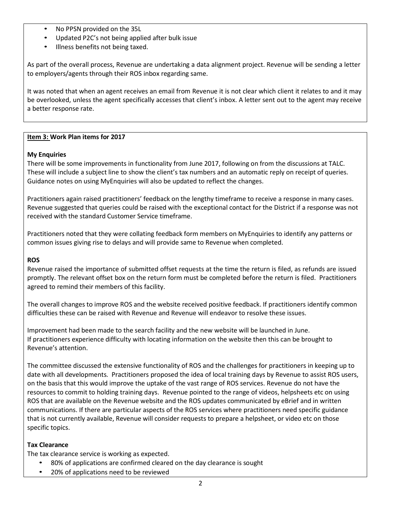- No PPSN provided on the 35L
- Updated P2C's not being applied after bulk issue
- Illness benefits not being taxed.

As part of the overall process, Revenue are undertaking a data alignment project. Revenue will be sending a letter to employers/agents through their ROS inbox regarding same.

It was noted that when an agent receives an email from Revenue it is not clear which client it relates to and it may be overlooked, unless the agent specifically accesses that client's inbox. A letter sent out to the agent may receive a better response rate.

## **Item 3: Work Plan items for 2017**

### **My Enquiries**

There will be some improvements in functionality from June 2017, following on from the discussions at TALC. These will include a subject line to show the client's tax numbers and an automatic reply on receipt of queries. Guidance notes on using MyEnquiries will also be updated to reflect the changes.

Practitioners again raised practitioners' feedback on the lengthy timeframe to receive a response in many cases. Revenue suggested that queries could be raised with the exceptional contact for the District if a response was not received with the standard Customer Service timeframe.

Practitioners noted that they were collating feedback form members on MyEnquiries to identify any patterns or common issues giving rise to delays and will provide same to Revenue when completed.

### **ROS**

Revenue raised the importance of submitted offset requests at the time the return is filed, as refunds are issued promptly. The relevant offset box on the return form must be completed before the return is filed. Practitioners agreed to remind their members of this facility.

The overall changes to improve ROS and the website received positive feedback. If practitioners identify common difficulties these can be raised with Revenue and Revenue will endeavor to resolve these issues.

Improvement had been made to the search facility and the new website will be launched in June. If practitioners experience difficulty with locating information on the website then this can be brought to Revenue's attention.

The committee discussed the extensive functionality of ROS and the challenges for practitioners in keeping up to date with all developments. Practitioners proposed the idea of local training days by Revenue to assist ROS users, on the basis that this would improve the uptake of the vast range of ROS services. Revenue do not have the resources to commit to holding training days. Revenue pointed to the range of videos, helpsheets etc on using ROS that are available on the Revenue website and the ROS updates communicated by eBrief and in written communications. If there are particular aspects of the ROS services where practitioners need specific guidance that is not currently available, Revenue will consider requests to prepare a helpsheet, or video etc on those specific topics.

#### **Tax Clearance**

The tax clearance service is working as expected.

- 80% of applications are confirmed cleared on the day clearance is sought
- 20% of applications need to be reviewed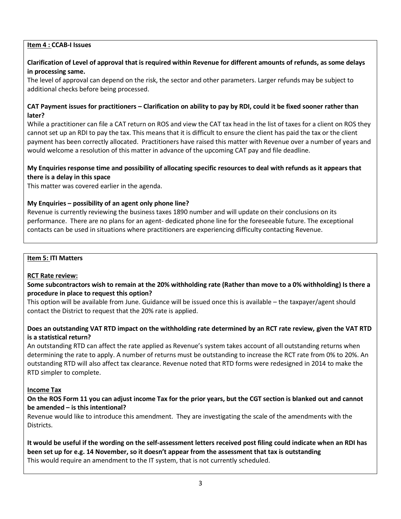### **Item 4 : CCAB-I Issues**

## **Clarification of Level of approval that is required within Revenue for different amounts of refunds, as some delays in processing same.**

The level of approval can depend on the risk, the sector and other parameters. Larger refunds may be subject to additional checks before being processed.

### CAT Payment issues for practitioners – Clarification on ability to pay by RDI, could it be fixed sooner rather than **later?**

While a practitioner can file a CAT return on ROS and view the CAT tax head in the list of taxes for a client on ROS they cannot set up an RDI to pay the tax. This means that it is difficult to ensure the client has paid the tax or the client payment has been correctly allocated. Practitioners have raised this matter with Revenue over a number of years and would welcome a resolution of this matter in advance of the upcoming CAT pay and file deadline.

## **My Enquiries response time and possibility of allocating specific resources to deal with refunds as it appears that there is a delay in this space**

This matter was covered earlier in the agenda.

### **My Enquiries – possibility of an agent only phone line?**

Revenue is currently reviewing the business taxes 1890 number and will update on their conclusions on its performance. There are no plans for an agent- dedicated phone line for the foreseeable future. The exceptional contacts can be used in situations where practitioners are experiencing difficulty contacting Revenue.

#### **Item 5: ITI Matters**

#### **RCT Rate review:**

### Some subcontractors wish to remain at the 20% withholding rate (Rather than move to a 0% withholding) Is there a **procedure in place to request this option?**

This option will be available from June. Guidance will be issued once this is available – the taxpayer/agent should contact the District to request that the 20% rate is applied.

## **Does an outstanding VAT RTD impact on the withholding rate determined by an RCT rate review, given the VAT RTD is a statistical return?**

An outstanding RTD can affect the rate applied as Revenue's system takes account of all outstanding returns when determining the rate to apply. A number of returns must be outstanding to increase the RCT rate from 0% to 20%. An outstanding RTD will also affect tax clearance. Revenue noted that RTD forms were redesigned in 2014 to make the RTD simpler to complete.

#### **Income Tax**

### On the ROS Form 11 you can adjust income Tax for the prior years, but the CGT section is blanked out and cannot **be amended – is this intentional?**

Revenue would like to introduce this amendment. They are investigating the scale of the amendments with the Districts.

**It would be useful if the wording on the self-assessment letters received post filing could indicate when an RDI has been set up for e.g. 14 November, so it doesn't appear from the assessment that tax is outstanding** This would require an amendment to the IT system, that is not currently scheduled.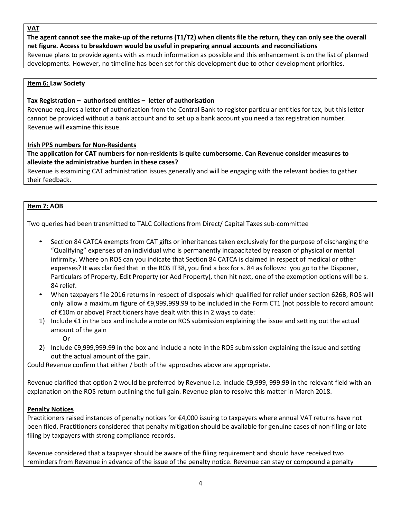**VAT**

The agent cannot see the make-up of the returns (T1/T2) when clients file the return, they can only see the overall **net figure. Access to breakdown would be useful in preparing annual accounts and reconciliations**

Revenue plans to provide agents with as much information as possible and this enhancement is on the list of planned developments. However, no timeline has been set for this development due to other development priorities.

## **Item 6: Law Society**

## **Tax Registration – authorised entities – letter of authorisation**

Revenue requires a letter of authorization from the Central Bank to register particular entities for tax, but this letter cannot be provided without a bank account and to set up a bank account you need a tax registration number. Revenue will examine this issue.

### **Irish PPS numbers for Non-Residents**

### **The application for CAT numbers for non-residents is quite cumbersome. Can Revenue consider measures to alleviate the administrative burden in these cases?**

Revenue is examining CAT administration issues generally and will be engaging with the relevant bodies to gather their feedback.

### **Item 7: AOB**

Two queries had been transmitted to TALC Collections from Direct/ Capital Taxes sub-committee

- Section 84 CATCA exempts from CAT gifts or inheritances taken exclusively for the purpose of discharging the "Qualifying" expenses of an individual who is permanently incapacitated by reason of physical or mental infirmity. Where on ROS can you indicate that Section 84 CATCA is claimed in respect of medical or other expenses? It was clarified that in the ROS IT38, you find a box for s. 84 as follows: you go to the Disponer, Particulars of Property, Edit Property (or Add Property), then hit next, one of the exemption options will be s. 84 relief.
- When taxpayers file 2016 returns in respect of disposals which qualified for relief under section 626B, ROS will only allow a maximum figure of €9,999,999.99 to be included in the Form CT1 (not possible to record amount of €10m or above) Practitioners have dealt with this in 2 ways to date:
- 1) Include €1 in the box and include a note on ROS submission explaining the issue and setting out the actual amount of the gain
	- Or
- 2) Include €9,999,999.99 in the box and include a note in the ROS submission explaining the issue and setting out the actual amount of the gain.

Could Revenue confirm that either / both of the approaches above are appropriate.

Revenue clarified that option 2 would be preferred by Revenue i.e. include €9,999, 999.99 in the relevant field with an explanation on the ROS return outlining the full gain. Revenue plan to resolve this matter in March 2018.

# **Penalty Notices**

Practitioners raised instances of penalty notices for €4,000 issuing to taxpayers where annual VAT returns have not been filed. Practitioners considered that penalty mitigation should be available for genuine cases of non-filing or late filing by taxpayers with strong compliance records.

Revenue considered that a taxpayer should be aware of the filing requirement and should have received two reminders from Revenue in advance of the issue of the penalty notice. Revenue can stay or compound a penalty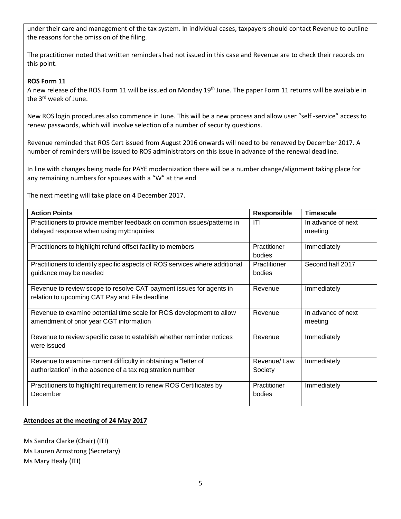under their care and management of the tax system. In individual cases, taxpayers should contact Revenue to outline the reasons for the omission of the filing.

The practitioner noted that written reminders had not issued in this case and Revenue are to check their records on this point.

## **ROS Form 11**

A new release of the ROS Form 11 will be issued on Monday 19<sup>th</sup> June. The paper Form 11 returns will be available in the 3<sup>rd</sup> week of June.

New ROS login procedures also commence in June. This will be a new process and allow user "self -service" access to renew passwords, which will involve selection of a number of security questions.

Revenue reminded that ROS Cert issued from August 2016 onwards will need to be renewed by December 2017. A number of reminders will be issued to ROS administrators on this issue in advance of the renewal deadline.

In line with changes being made for PAYE modernization there will be a number change/alignment taking place for any remaining numbers for spouses with a "W" at the end

The next meeting will take place on 4 December 2017.

| <b>Action Points</b>                                                        | <b>Responsible</b>     | <b>Timescale</b>   |
|-----------------------------------------------------------------------------|------------------------|--------------------|
| Practitioners to provide member feedback on common issues/patterns in       | <b>ITI</b>             | In advance of next |
| delayed response when using myEnquiries                                     |                        | meeting            |
| Practitioners to highlight refund offset facility to members                | Practitioner<br>bodies | Immediately        |
| Practitioners to identify specific aspects of ROS services where additional | Practitioner           | Second half 2017   |
| guidance may be needed                                                      | bodies                 |                    |
| Revenue to review scope to resolve CAT payment issues for agents in         | Revenue                | Immediately        |
| relation to upcoming CAT Pay and File deadline                              |                        |                    |
| Revenue to examine potential time scale for ROS development to allow        | Revenue                | In advance of next |
| amendment of prior year CGT information                                     |                        | meeting            |
| Revenue to review specific case to establish whether reminder notices       | Revenue                | Immediately        |
| were issued                                                                 |                        |                    |
| Revenue to examine current difficulty in obtaining a "letter of             | Revenue/Law            | Immediately        |
| authorization" in the absence of a tax registration number                  | Society                |                    |
| Practitioners to highlight requirement to renew ROS Certificates by         | Practitioner           | Immediately        |
| December                                                                    | bodies                 |                    |

## **Attendees at the meeting of 24 May 2017**

Ms Sandra Clarke (Chair) (ITI) Ms Lauren Armstrong (Secretary) Ms Mary Healy (ITI)